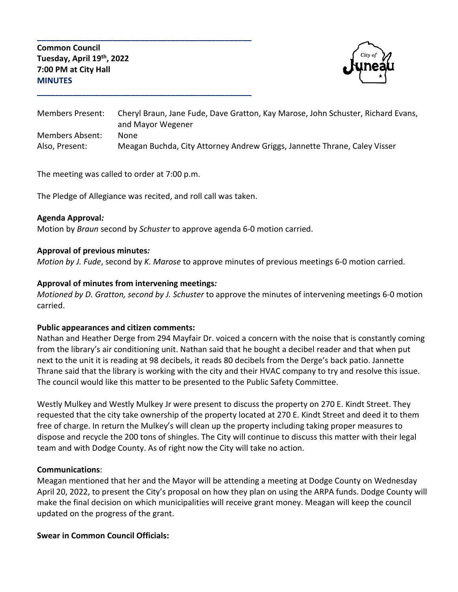**Common Council Tuesday, April 19th, 2022 7:00 PM at City Hall MINUTES**



Members Present: Cheryl Braun, Jane Fude, Dave Gratton, Kay Marose, John Schuster, Richard Evans, and Mayor Wegener Members Absent: None Also, Present: Meagan Buchda, City Attorney Andrew Griggs, Jannette Thrane, Caley Visser

The meeting was called to order at 7:00 p.m.

The Pledge of Allegiance was recited, and roll call was taken.

**\_\_\_\_\_\_\_\_\_\_\_\_\_\_\_\_\_\_\_\_\_\_\_\_\_\_\_\_\_\_\_\_\_\_\_\_\_\_\_\_\_\_\_\_\_\_\_\_**

**\_\_\_\_\_\_\_\_\_\_\_\_\_\_\_\_\_\_\_\_\_\_\_\_\_\_\_\_\_\_\_\_\_\_\_\_\_\_\_\_\_\_\_\_\_\_\_\_**

#### **Agenda Approval***:*

Motion by *Braun* second by *Schuster* to approve agenda 6-0 motion carried.

#### **Approval of previous minutes***:*

*Motion by J. Fude*, second by *K. Marose* to approve minutes of previous meetings 6-0 motion carried.

#### **Approval of minutes from intervening meetings***:*

*Motioned by D. Gratton, second by J. Schuster* to approve the minutes of intervening meetings 6-0 motion carried.

## **Public appearances and citizen comments:**

Nathan and Heather Derge from 294 Mayfair Dr. voiced a concern with the noise that is constantly coming from the library's air conditioning unit. Nathan said that he bought a decibel reader and that when put next to the unit it is reading at 98 decibels, it reads 80 decibels from the Derge's back patio. Jannette Thrane said that the library is working with the city and their HVAC company to try and resolve this issue. The council would like this matter to be presented to the Public Safety Committee.

Westly Mulkey and Westly Mulkey Jr were present to discuss the property on 270 E. Kindt Street. They requested that the city take ownership of the property located at 270 E. Kindt Street and deed it to them free of charge. In return the Mulkey's will clean up the property including taking proper measures to dispose and recycle the 200 tons of shingles. The City will continue to discuss this matter with their legal team and with Dodge County. As of right now the City will take no action.

#### **Communications**:

Meagan mentioned that her and the Mayor will be attending a meeting at Dodge County on Wednesday April 20, 2022, to present the City's proposal on how they plan on using the ARPA funds. Dodge County will make the final decision on which municipalities will receive grant money. Meagan will keep the council updated on the progress of the grant.

## **Swear in Common Council Officials:**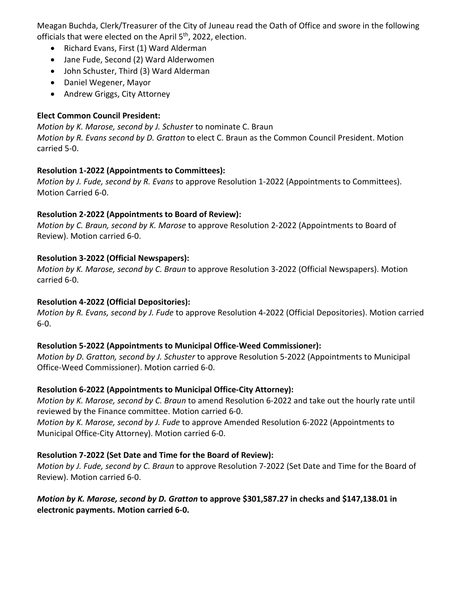Meagan Buchda, Clerk/Treasurer of the City of Juneau read the Oath of Office and swore in the following officials that were elected on the April 5<sup>th</sup>, 2022, election.

- Richard Evans, First (1) Ward Alderman
- Jane Fude, Second (2) Ward Alderwomen
- John Schuster, Third (3) Ward Alderman
- Daniel Wegener, Mayor
- Andrew Griggs, City Attorney

# **Elect Common Council President:**

*Motion by K. Marose, second by J. Schuster* to nominate C. Braun *Motion by R. Evans second by D. Gratton* to elect C. Braun as the Common Council President. Motion carried 5-0.

# **Resolution 1-2022 (Appointments to Committees):**

*Motion by J. Fude, second by R. Evans* to approve Resolution 1-2022 (Appointments to Committees). Motion Carried 6-0.

# **Resolution 2-2022 (Appointments to Board of Review):**

*Motion by C. Braun, second by K. Marose* to approve Resolution 2-2022 (Appointments to Board of Review). Motion carried 6-0.

# **Resolution 3-2022 (Official Newspapers):**

*Motion by K. Marose, second by C. Braun* to approve Resolution 3-2022 (Official Newspapers). Motion carried 6-0.

# **Resolution 4-2022 (Official Depositories):**

*Motion by R. Evans, second by J. Fude* to approve Resolution 4-2022 (Official Depositories). Motion carried 6-0.

# **Resolution 5-2022 (Appointments to Municipal Office-Weed Commissioner):**

*Motion by D. Gratton, second by J. Schuster* to approve Resolution 5-2022 (Appointments to Municipal Office-Weed Commissioner). Motion carried 6-0.

# **Resolution 6-2022 (Appointments to Municipal Office-City Attorney):**

*Motion by K. Marose, second by C. Braun* to amend Resolution 6-2022 and take out the hourly rate until reviewed by the Finance committee. Motion carried 6-0.

*Motion by K. Marose, second by J. Fude* to approve Amended Resolution 6-2022 (Appointments to Municipal Office-City Attorney). Motion carried 6-0.

# **Resolution 7-2022 (Set Date and Time for the Board of Review):**

*Motion by J. Fude, second by C. Braun* to approve Resolution 7-2022 (Set Date and Time for the Board of Review). Motion carried 6-0.

# *Motion by K. Marose, second by D. Gratton* **to approve \$301,587.27 in checks and \$147,138.01 in electronic payments. Motion carried 6-0.**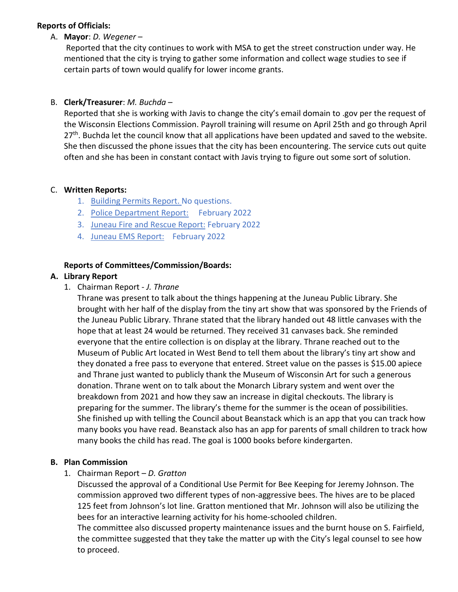### **Reports of Officials:**

A. **Mayor**: *D. Wegener* –

Reported that the city continues to work with MSA to get the street construction under way. He mentioned that the city is trying to gather some information and collect wage studies to see if certain parts of town would qualify for lower income grants.

# B. **Clerk/Treasurer**: *M. Buchda* –

Reported that she is working with Javis to change the city's email domain to .gov per the request of the Wisconsin Elections Commission. Payroll training will resume on April 25th and go through April  $27<sup>th</sup>$ . Buchda let the council know that all applications have been updated and saved to the website. She then discussed the phone issues that the city has been encountering. The service cuts out quite often and she has been in constant contact with Javis trying to figure out some sort of solution.

#### C. **Written Reports:**

- 1. Building Permits Report. No questions.
- 2. Police Department Report: February 2022
- 3. Juneau Fire and Rescue Report: February 2022
- 4. Juneau EMS Report: February 2022

## **Reports of Committees/Commission/Boards:**

#### **A. Library Report**

1. Chairman Report - *J. Thrane*

Thrane was present to talk about the things happening at the Juneau Public Library. She brought with her half of the display from the tiny art show that was sponsored by the Friends of the Juneau Public Library. Thrane stated that the library handed out 48 little canvases with the hope that at least 24 would be returned. They received 31 canvases back. She reminded everyone that the entire collection is on display at the library. Thrane reached out to the Museum of Public Art located in West Bend to tell them about the library's tiny art show and they donated a free pass to everyone that entered. Street value on the passes is \$15.00 apiece and Thrane just wanted to publicly thank the Museum of Wisconsin Art for such a generous donation. Thrane went on to talk about the Monarch Library system and went over the breakdown from 2021 and how they saw an increase in digital checkouts. The library is preparing for the summer. The library's theme for the summer is the ocean of possibilities. She finished up with telling the Council about Beanstack which is an app that you can track how many books you have read. Beanstack also has an app for parents of small children to track how many books the child has read. The goal is 1000 books before kindergarten.

## **B. Plan Commission**

1. Chairman Report – *D. Gratton*

Discussed the approval of a Conditional Use Permit for Bee Keeping for Jeremy Johnson. The commission approved two different types of non-aggressive bees. The hives are to be placed 125 feet from Johnson's lot line. Gratton mentioned that Mr. Johnson will also be utilizing the bees for an interactive learning activity for his home-schooled children.

The committee also discussed property maintenance issues and the burnt house on S. Fairfield, the committee suggested that they take the matter up with the City's legal counsel to see how to proceed.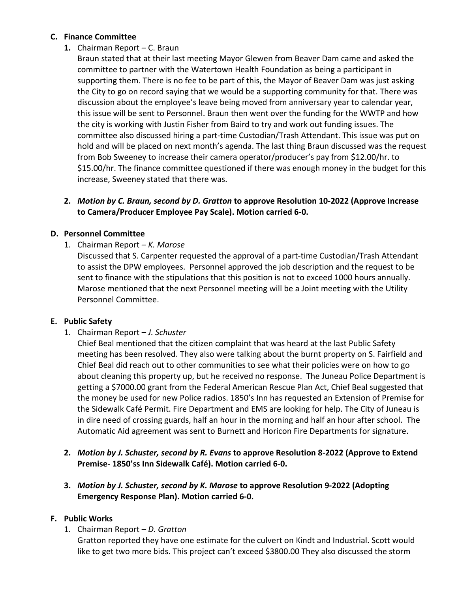# **C. Finance Committee**

# **1.** Chairman Report – C. Braun

Braun stated that at their last meeting Mayor Glewen from Beaver Dam came and asked the committee to partner with the Watertown Health Foundation as being a participant in supporting them. There is no fee to be part of this, the Mayor of Beaver Dam was just asking the City to go on record saying that we would be a supporting community for that. There was discussion about the employee's leave being moved from anniversary year to calendar year, this issue will be sent to Personnel. Braun then went over the funding for the WWTP and how the city is working with Justin Fisher from Baird to try and work out funding issues. The committee also discussed hiring a part-time Custodian/Trash Attendant. This issue was put on hold and will be placed on next month's agenda. The last thing Braun discussed was the request from Bob Sweeney to increase their camera operator/producer's pay from \$12.00/hr. to \$15.00/hr. The finance committee questioned if there was enough money in the budget for this increase, Sweeney stated that there was.

### **2.** *Motion by C. Braun, second by D. Gratton* **to approve Resolution 10-2022 (Approve Increase to Camera/Producer Employee Pay Scale). Motion carried 6-0.**

## **D. Personnel Committee**

1. Chairman Report – *K. Marose*

Discussed that S. Carpenter requested the approval of a part-time Custodian/Trash Attendant to assist the DPW employees. Personnel approved the job description and the request to be sent to finance with the stipulations that this position is not to exceed 1000 hours annually. Marose mentioned that the next Personnel meeting will be a Joint meeting with the Utility Personnel Committee.

## **E. Public Safety**

1. Chairman Report – *J. Schuster*

Chief Beal mentioned that the citizen complaint that was heard at the last Public Safety meeting has been resolved. They also were talking about the burnt property on S. Fairfield and Chief Beal did reach out to other communities to see what their policies were on how to go about cleaning this property up, but he received no response. The Juneau Police Department is getting a \$7000.00 grant from the Federal American Rescue Plan Act, Chief Beal suggested that the money be used for new Police radios. 1850's Inn has requested an Extension of Premise for the Sidewalk Café Permit. Fire Department and EMS are looking for help. The City of Juneau is in dire need of crossing guards, half an hour in the morning and half an hour after school. The Automatic Aid agreement was sent to Burnett and Horicon Fire Departments for signature.

- **2.** *Motion by J. Schuster, second by R. Evans* **to approve Resolution 8-2022 (Approve to Extend Premise- 1850'ss Inn Sidewalk Café). Motion carried 6-0.**
- **3.** *Motion by J. Schuster, second by K. Marose* **to approve Resolution 9-2022 (Adopting Emergency Response Plan). Motion carried 6-0.**

## **F. Public Works**

1. Chairman Report – *D. Gratton*

Gratton reported they have one estimate for the culvert on Kindt and Industrial. Scott would like to get two more bids. This project can't exceed \$3800.00 They also discussed the storm